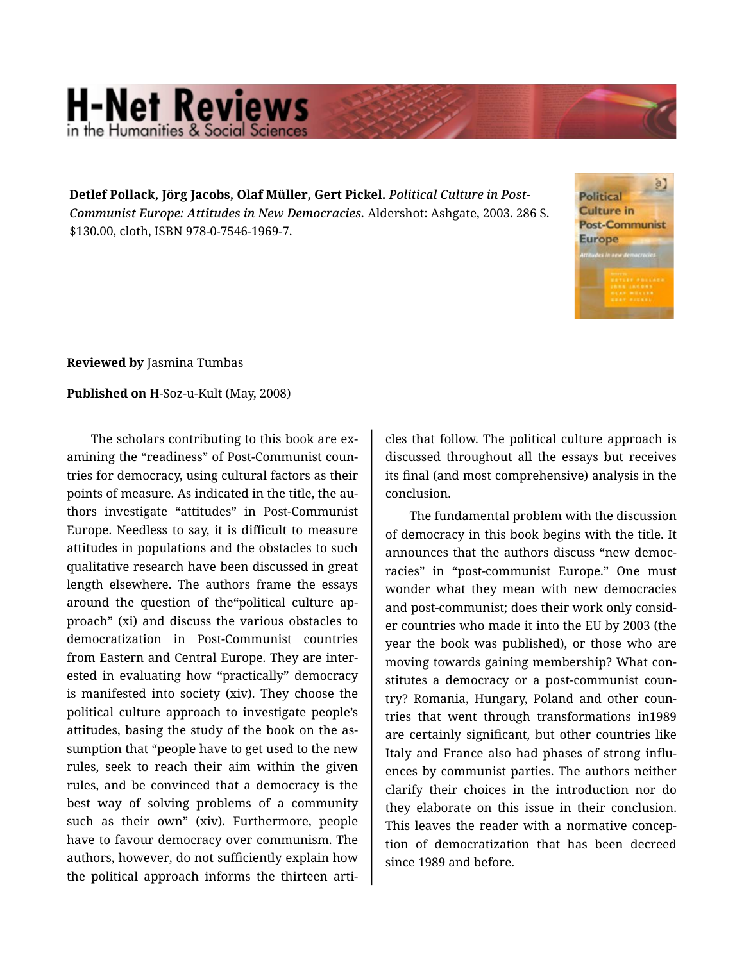## **H-Net Reviews** in the Humanities & Social Scie

**Detlef Pollack, Jörg Jacobs, Olaf Müller, Gert Pickel.** *Political Culture in Post-Communist Europe: Attitudes in New Democracies.* Aldershot: Ashgate, 2003. 286 S. \$130.00, cloth, ISBN 978-0-7546-1969-7.



**Reviewed by** Jasmina Tumbas

**Published on** H-Soz-u-Kult (May, 2008)

The scholars contributing to this book are ex‐ amining the "readiness" of Post-Communist coun‐ tries for democracy, using cultural factors as their points of measure. As indicated in the title, the au‐ thors investigate "attitudes" in Post-Communist Europe. Needless to say, it is difficult to measure attitudes in populations and the obstacles to such qualitative research have been discussed in great length elsewhere. The authors frame the essays around the question of the"political culture ap‐ proach" (xi) and discuss the various obstacles to democratization in Post-Communist countries from Eastern and Central Europe. They are inter‐ ested in evaluating how "practically" democracy is manifested into society (xiv). They choose the political culture approach to investigate people's attitudes, basing the study of the book on the as‐ sumption that "people have to get used to the new rules, seek to reach their aim within the given rules, and be convinced that a democracy is the best way of solving problems of a community such as their own" (xiv). Furthermore, people have to favour democracy over communism. The authors, however, do not sufficiently explain how the political approach informs the thirteen arti‐

cles that follow. The political culture approach is discussed throughout all the essays but receives its final (and most comprehensive) analysis in the conclusion.

The fundamental problem with the discussion of democracy in this book begins with the title. It announces that the authors discuss "new democ‐ racies" in "post-communist Europe." One must wonder what they mean with new democracies and post-communist; does their work only consid‐ er countries who made it into the EU by 2003 (the year the book was published), or those who are moving towards gaining membership? What con‐ stitutes a democracy or a post-communist coun‐ try? Romania, Hungary, Poland and other coun‐ tries that went through transformations in1989 are certainly significant, but other countries like Italy and France also had phases of strong influ‐ ences by communist parties. The authors neither clarify their choices in the introduction nor do they elaborate on this issue in their conclusion. This leaves the reader with a normative concep‐ tion of democratization that has been decreed since 1989 and before.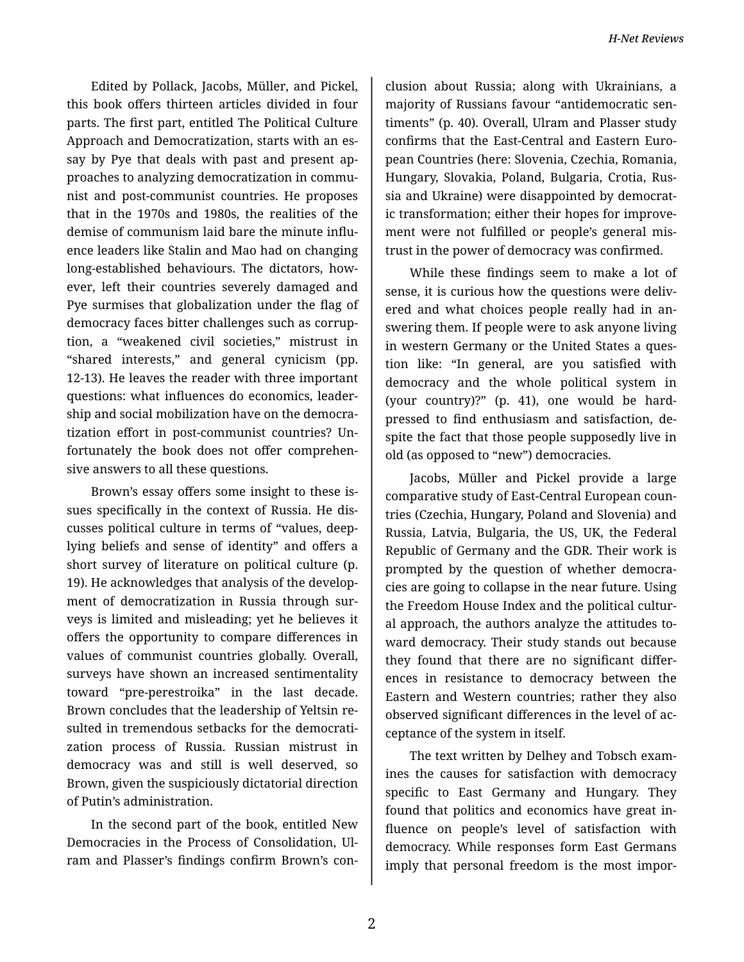Edited by Pollack, Jacobs, Müller, and Pickel, this book offers thirteen articles divided in four parts. The first part, entitled The Political Culture Approach and Democratization, starts with an es‐ say by Pye that deals with past and present ap‐ proaches to analyzing democratization in commu‐ nist and post-communist countries. He proposes that in the 1970s and 1980s, the realities of the demise of communism laid bare the minute influ‐ ence leaders like Stalin and Mao had on changing long-established behaviours. The dictators, how‐ ever, left their countries severely damaged and Pye surmises that globalization under the flag of democracy faces bitter challenges such as corrup‐ tion, a "weakened civil societies," mistrust in "shared interests," and general cynicism (pp. 12-13). He leaves the reader with three important questions: what influences do economics, leader‐ ship and social mobilization have on the democra‐ tization effort in post-communist countries? Un‐ fortunately the book does not offer comprehen‐ sive answers to all these questions.

Brown's essay offers some insight to these is‐ sues specifically in the context of Russia. He dis‐ cusses political culture in terms of "values, deeplying beliefs and sense of identity" and offers a short survey of literature on political culture (p. 19). He acknowledges that analysis of the develop‐ ment of democratization in Russia through sur‐ veys is limited and misleading; yet he believes it offers the opportunity to compare differences in values of communist countries globally. Overall, surveys have shown an increased sentimentality toward "pre-perestroika" in the last decade. Brown concludes that the leadership of Yeltsin re‐ sulted in tremendous setbacks for the democrati‐ zation process of Russia. Russian mistrust in democracy was and still is well deserved, so Brown, given the suspiciously dictatorial direction of Putin's administration.

In the second part of the book, entitled New Democracies in the Process of Consolidation, Ul‐ ram and Plasser's findings confirm Brown's con‐

clusion about Russia; along with Ukrainians, a majority of Russians favour "antidemocratic sen‐ timents" (p. 40). Overall, Ulram and Plasser study confirms that the East-Central and Eastern Euro‐ pean Countries (here: Slovenia, Czechia, Romania, Hungary, Slovakia, Poland, Bulgaria, Crotia, Rus‐ sia and Ukraine) were disappointed by democrat‐ ic transformation; either their hopes for improve‐ ment were not fulfilled or people's general mis‐ trust in the power of democracy was confirmed.

While these findings seem to make a lot of sense, it is curious how the questions were delivered and what choices people really had in an‐ swering them. If people were to ask anyone living in western Germany or the United States a ques‐ tion like: "In general, are you satisfied with democracy and the whole political system in (your country)?" (p. 41), one would be hardpressed to find enthusiasm and satisfaction, de‐ spite the fact that those people supposedly live in old (as opposed to "new") democracies.

Jacobs, Müller and Pickel provide a large comparative study of East-Central European coun‐ tries (Czechia, Hungary, Poland and Slovenia) and Russia, Latvia, Bulgaria, the US, UK, the Federal Republic of Germany and the GDR. Their work is prompted by the question of whether democra‐ cies are going to collapse in the near future. Using the Freedom House Index and the political cultur‐ al approach, the authors analyze the attitudes to‐ ward democracy. Their study stands out because they found that there are no significant differ‐ ences in resistance to democracy between the Eastern and Western countries; rather they also observed significant differences in the level of ac‐ ceptance of the system in itself.

The text written by Delhey and Tobsch exam‐ ines the causes for satisfaction with democracy specific to East Germany and Hungary. They found that politics and economics have great in‐ fluence on people's level of satisfaction with democracy. While responses form East Germans imply that personal freedom is the most impor‐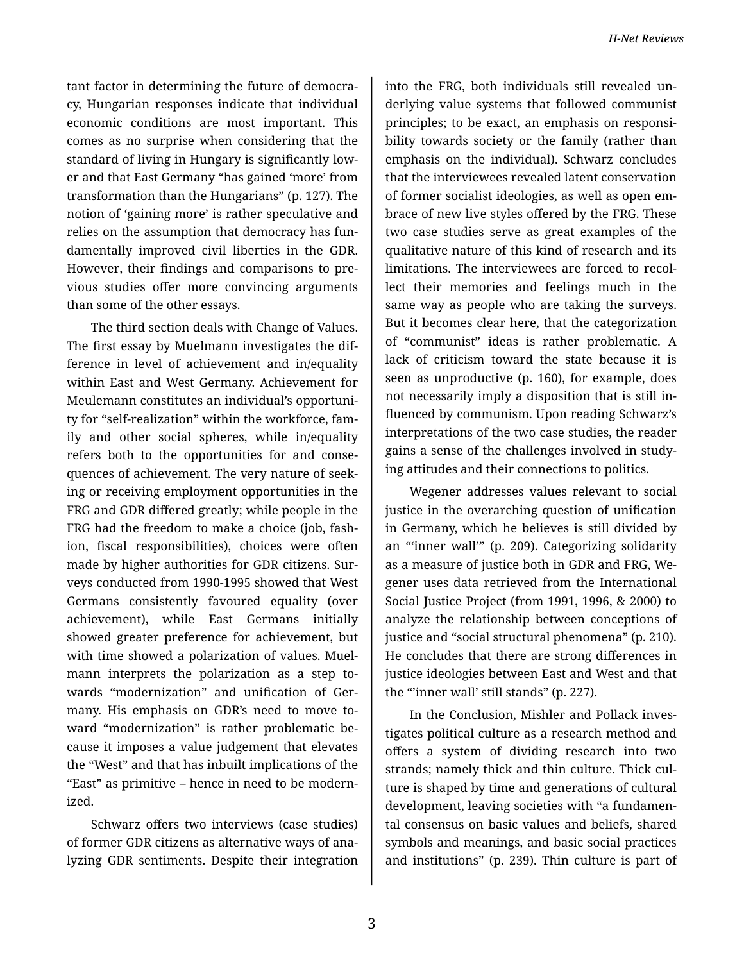tant factor in determining the future of democra‐ cy, Hungarian responses indicate that individual economic conditions are most important. This comes as no surprise when considering that the standard of living in Hungary is significantly low‐ er and that East Germany "has gained 'more' from transformation than the Hungarians" (p. 127). The notion of 'gaining more' is rather speculative and relies on the assumption that democracy has fun‐ damentally improved civil liberties in the GDR. However, their findings and comparisons to pre‐ vious studies offer more convincing arguments than some of the other essays.

The third section deals with Change of Values. The first essay by Muelmann investigates the dif‐ ference in level of achievement and in/equality within East and West Germany. Achievement for Meulemann constitutes an individual's opportuni‐ ty for "self-realization" within the workforce, fam‐ ily and other social spheres, while in/equality refers both to the opportunities for and conse‐ quences of achievement. The very nature of seek‐ ing or receiving employment opportunities in the FRG and GDR differed greatly; while people in the FRG had the freedom to make a choice (job, fash‐ ion, fiscal responsibilities), choices were often made by higher authorities for GDR citizens. Sur‐ veys conducted from 1990-1995 showed that West Germans consistently favoured equality (over achievement), while East Germans initially showed greater preference for achievement, but with time showed a polarization of values. Muelmann interprets the polarization as a step to‐ wards "modernization" and unification of Ger‐ many. His emphasis on GDR's need to move to‐ ward "modernization" is rather problematic be‐ cause it imposes a value judgement that elevates the "West" and that has inbuilt implications of the "East" as primitive – hence in need to be modern‐ ized.

Schwarz offers two interviews (case studies) of former GDR citizens as alternative ways of ana‐ lyzing GDR sentiments. Despite their integration

into the FRG, both individuals still revealed un‐ derlying value systems that followed communist principles; to be exact, an emphasis on responsi‐ bility towards society or the family (rather than emphasis on the individual). Schwarz concludes that the interviewees revealed latent conservation of former socialist ideologies, as well as open em‐ brace of new live styles offered by the FRG. These two case studies serve as great examples of the qualitative nature of this kind of research and its limitations. The interviewees are forced to recol‐ lect their memories and feelings much in the same way as people who are taking the surveys. But it becomes clear here, that the categorization of "communist" ideas is rather problematic. A lack of criticism toward the state because it is seen as unproductive (p. 160), for example, does not necessarily imply a disposition that is still in‐ fluenced by communism. Upon reading Schwarz's interpretations of the two case studies, the reader gains a sense of the challenges involved in study‐ ing attitudes and their connections to politics.

Wegener addresses values relevant to social justice in the overarching question of unification in Germany, which he believes is still divided by an "'inner wall'" (p. 209). Categorizing solidarity as a measure of justice both in GDR and FRG, We‐ gener uses data retrieved from the International Social Justice Project (from 1991, 1996, & 2000) to analyze the relationship between conceptions of justice and "social structural phenomena" (p. 210). He concludes that there are strong differences in justice ideologies between East and West and that the "inner wall' still stands" (p. 227).

In the Conclusion, Mishler and Pollack inves‐ tigates political culture as a research method and offers a system of dividing research into two strands; namely thick and thin culture. Thick cul‐ ture is shaped by time and generations of cultural development, leaving societies with "a fundamen‐ tal consensus on basic values and beliefs, shared symbols and meanings, and basic social practices and institutions" (p. 239). Thin culture is part of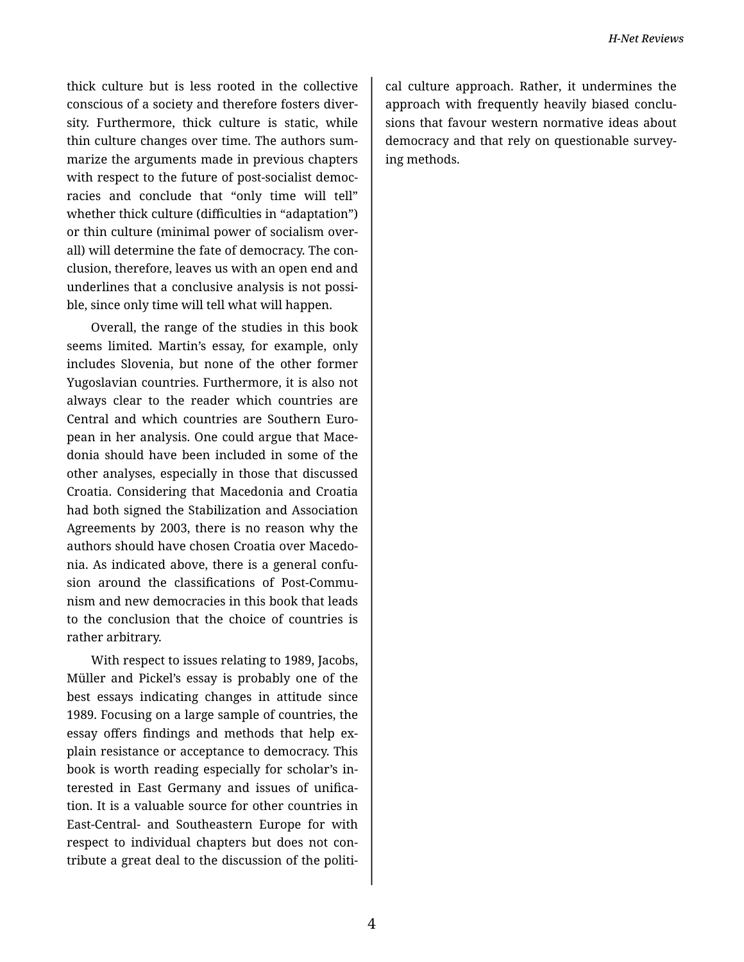thick culture but is less rooted in the collective conscious of a society and therefore fosters diver‐ sity. Furthermore, thick culture is static, while thin culture changes over time. The authors sum‐ marize the arguments made in previous chapters with respect to the future of post-socialist democ‐ racies and conclude that "only time will tell" whether thick culture (difficulties in "adaptation") or thin culture (minimal power of socialism over‐ all) will determine the fate of democracy. The con‐ clusion, therefore, leaves us with an open end and underlines that a conclusive analysis is not possi‐ ble, since only time will tell what will happen.

Overall, the range of the studies in this book seems limited. Martin's essay, for example, only includes Slovenia, but none of the other former Yugoslavian countries. Furthermore, it is also not always clear to the reader which countries are Central and which countries are Southern Euro‐ pean in her analysis. One could argue that Mace‐ donia should have been included in some of the other analyses, especially in those that discussed Croatia. Considering that Macedonia and Croatia had both signed the Stabilization and Association Agreements by 2003, there is no reason why the authors should have chosen Croatia over Macedo‐ nia. As indicated above, there is a general confu‐ sion around the classifications of Post-Commu‐ nism and new democracies in this book that leads to the conclusion that the choice of countries is rather arbitrary.

With respect to issues relating to 1989, Jacobs, Müller and Pickel's essay is probably one of the best essays indicating changes in attitude since 1989. Focusing on a large sample of countries, the essay offers findings and methods that help ex‐ plain resistance or acceptance to democracy. This book is worth reading especially for scholar's in‐ terested in East Germany and issues of unifica‐ tion. It is a valuable source for other countries in East-Central- and Southeastern Europe for with respect to individual chapters but does not con‐ tribute a great deal to the discussion of the politi‐

cal culture approach. Rather, it undermines the approach with frequently heavily biased conclu‐ sions that favour western normative ideas about democracy and that rely on questionable survey‐ ing methods.